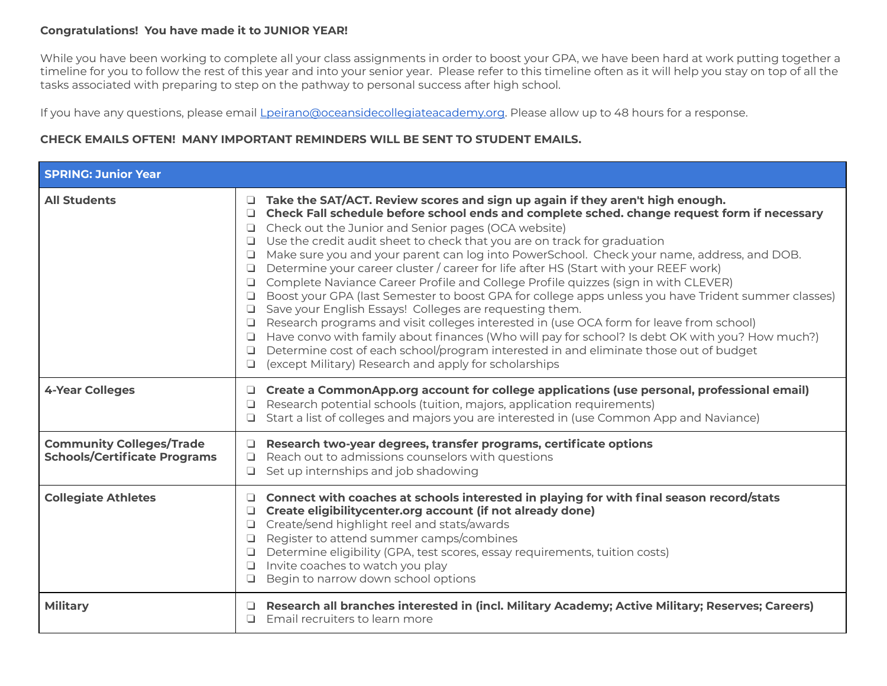## **Congratulations! You have made it to JUNIOR YEAR!**

While you have been working to complete all your class assignments in order to boost your GPA, we have been hard at work putting together a timeline for you to follow the rest of this year and into your senior year. Please refer to this timeline often as it will help you stay on top of all the tasks associated with preparing to step on the pathway to personal success after high school.

If you have any questions, please email Lpeirano@oceansidecollegiateacademy.org. Please allow up to 48 hours for a response.

## **CHECK EMAILS OFTEN! MANY IMPORTANT REMINDERS WILL BE SENT TO STUDENT EMAILS.**

| <b>SPRING: Junior Year</b>                                             |                                                                                                                                                                                                                                                                                                                                                                                                                                                                                                                                                                                                                                                                                                                                                                                                                                                                                                                                                                                                                                                                                                                                                          |
|------------------------------------------------------------------------|----------------------------------------------------------------------------------------------------------------------------------------------------------------------------------------------------------------------------------------------------------------------------------------------------------------------------------------------------------------------------------------------------------------------------------------------------------------------------------------------------------------------------------------------------------------------------------------------------------------------------------------------------------------------------------------------------------------------------------------------------------------------------------------------------------------------------------------------------------------------------------------------------------------------------------------------------------------------------------------------------------------------------------------------------------------------------------------------------------------------------------------------------------|
| <b>All Students</b>                                                    | □ Take the SAT/ACT. Review scores and sign up again if they aren't high enough.<br>Check Fall schedule before school ends and complete sched. change request form if necessary<br>$\Box$ Check out the Junior and Senior pages (OCA website)<br>$\Box$ Use the credit audit sheet to check that you are on track for graduation<br>□ Make sure you and your parent can log into PowerSchool. Check your name, address, and DOB.<br>Determine your career cluster / career for life after HS (Start with your REEF work)<br>□<br>□ Complete Naviance Career Profile and College Profile quizzes (sign in with CLEVER)<br>□ Boost your GPA (last Semester to boost GPA for college apps unless you have Trident summer classes)<br>□ Save your English Essays! Colleges are requesting them.<br>□ Research programs and visit colleges interested in (use OCA form for leave from school)<br>□ Have convo with family about finances (Who will pay for school? Is debt OK with you? How much?)<br>Determine cost of each school/program interested in and eliminate those out of budget<br>$\Box$<br>(except Military) Research and apply for scholarships |
| <b>4-Year Colleges</b>                                                 | $\Box$ Create a CommonApp.org account for college applications (use personal, professional email)<br>Research potential schools (tuition, majors, application requirements)<br>□<br>□ Start a list of colleges and majors you are interested in (use Common App and Naviance)                                                                                                                                                                                                                                                                                                                                                                                                                                                                                                                                                                                                                                                                                                                                                                                                                                                                            |
| <b>Community Colleges/Trade</b><br><b>Schools/Certificate Programs</b> | Research two-year degrees, transfer programs, certificate options<br>Reach out to admissions counselors with questions<br>$\Box$<br>Set up internships and job shadowing                                                                                                                                                                                                                                                                                                                                                                                                                                                                                                                                                                                                                                                                                                                                                                                                                                                                                                                                                                                 |
| <b>Collegiate Athletes</b>                                             | Connect with coaches at schools interested in playing for with final season record/stats<br>Create eligibilitycenter.org account (if not already done)<br>Create/send highlight reel and stats/awards<br>$\Box$ Register to attend summer camps/combines<br>Determine eligibility (GPA, test scores, essay requirements, tuition costs)<br>$\Box$ Invite coaches to watch you play<br>Begin to narrow down school options                                                                                                                                                                                                                                                                                                                                                                                                                                                                                                                                                                                                                                                                                                                                |
| <b>Military</b>                                                        | Research all branches interested in (incl. Military Academy; Active Military; Reserves; Careers)<br>Email recruiters to learn more<br>□                                                                                                                                                                                                                                                                                                                                                                                                                                                                                                                                                                                                                                                                                                                                                                                                                                                                                                                                                                                                                  |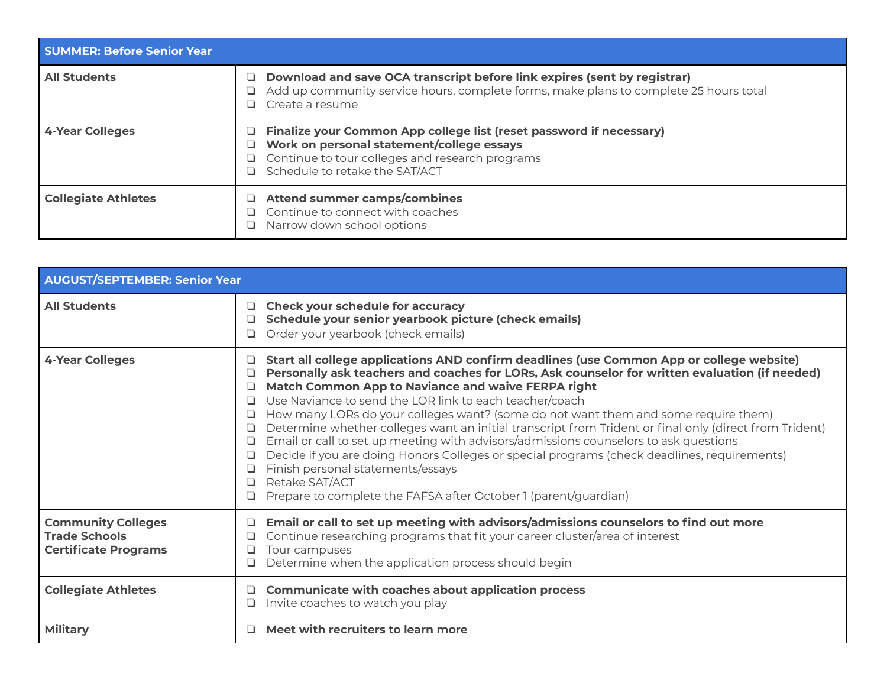| <b>SUMMER: Before Senior Year</b> |                                                                                                                                                                                                              |  |
|-----------------------------------|--------------------------------------------------------------------------------------------------------------------------------------------------------------------------------------------------------------|--|
| <b>All Students</b>               | Download and save OCA transcript before link expires (sent by registrar)<br>Add up community service hours, complete forms, make plans to complete 25 hours total<br>Create a resume                         |  |
| 4-Year Colleges                   | Finalize your Common App college list (reset password if necessary)<br>Work on personal statement/college essays<br>$\Box$ Continue to tour colleges and research programs<br>Schedule to retake the SAT/ACT |  |
| <b>Collegiate Athletes</b>        | <b>Attend summer camps/combines</b><br>Continue to connect with coaches<br>Narrow down school options                                                                                                        |  |

| <b>AUGUST/SEPTEMBER: Senior Year</b>                                             |                                                                                                                                                                                                                                                                                                                                                                                                                                                                                                                                                                                                                                                                                                                                                                                                                                                            |
|----------------------------------------------------------------------------------|------------------------------------------------------------------------------------------------------------------------------------------------------------------------------------------------------------------------------------------------------------------------------------------------------------------------------------------------------------------------------------------------------------------------------------------------------------------------------------------------------------------------------------------------------------------------------------------------------------------------------------------------------------------------------------------------------------------------------------------------------------------------------------------------------------------------------------------------------------|
| <b>All Students</b>                                                              | <b>Check your schedule for accuracy</b><br>⊔<br>Schedule your senior yearbook picture (check emails)<br>❏<br>Order your yearbook (check emails)<br>⊐                                                                                                                                                                                                                                                                                                                                                                                                                                                                                                                                                                                                                                                                                                       |
| <b>4-Year Colleges</b>                                                           | Start all college applications AND confirm deadlines (use Common App or college website)<br>⊔<br>Personally ask teachers and coaches for LORs, Ask counselor for written evaluation (if needed)<br>Match Common App to Naviance and waive FERPA right<br>Use Naviance to send the LOR link to each teacher/coach<br>⊔<br>How many LORs do your colleges want? (some do not want them and some require them)<br>⊔<br>Determine whether colleges want an initial transcript from Trident or final only (direct from Trident)<br>Email or call to set up meeting with advisors/admissions counselors to ask questions<br>⊔<br>Decide if you are doing Honors Colleges or special programs (check deadlines, requirements)<br>⊔<br>Finish personal statements/essays<br>⊔<br>Retake SAT/ACT<br>Prepare to complete the FAFSA after October 1 (parent/guardian) |
| <b>Community Colleges</b><br><b>Trade Schools</b><br><b>Certificate Programs</b> | Email or call to set up meeting with advisors/admissions counselors to find out more<br>Continue researching programs that fit your career cluster/area of interest<br>Tour campuses<br>⊔<br>Determine when the application process should begin                                                                                                                                                                                                                                                                                                                                                                                                                                                                                                                                                                                                           |
| <b>Collegiate Athletes</b>                                                       | <b>Communicate with coaches about application process</b><br>⊔<br>Invite coaches to watch you play                                                                                                                                                                                                                                                                                                                                                                                                                                                                                                                                                                                                                                                                                                                                                         |
| <b>Military</b>                                                                  | Meet with recruiters to learn more                                                                                                                                                                                                                                                                                                                                                                                                                                                                                                                                                                                                                                                                                                                                                                                                                         |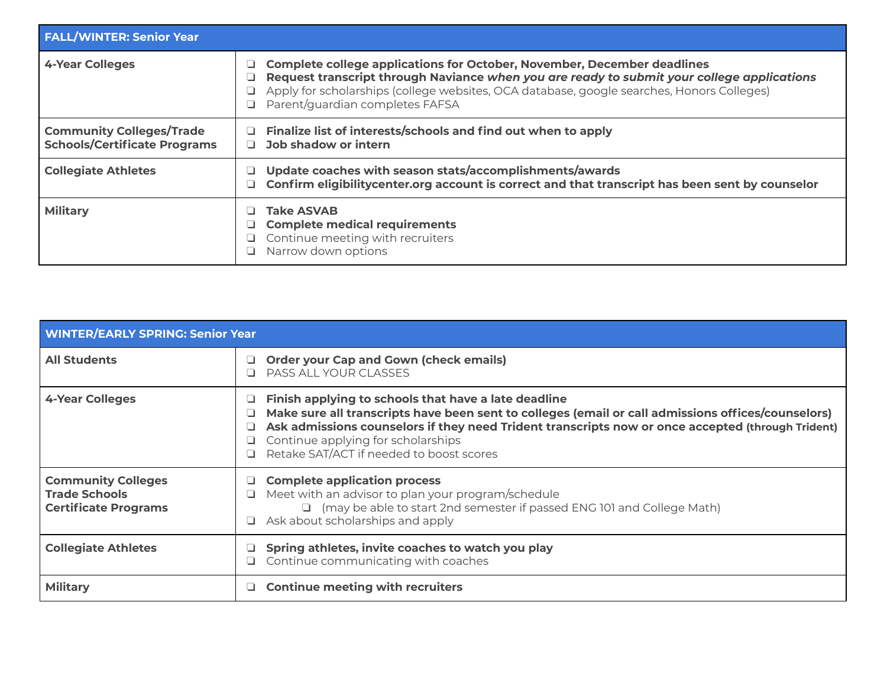| <b>FALL/WINTER: Senior Year</b>                                        |                                                                                                                                                                                                                                                                                                            |
|------------------------------------------------------------------------|------------------------------------------------------------------------------------------------------------------------------------------------------------------------------------------------------------------------------------------------------------------------------------------------------------|
| <b>4-Year Colleges</b>                                                 | Complete college applications for October, November, December deadlines<br>Request transcript through Naviance when you are ready to submit your college applications<br>Apply for scholarships (college websites, OCA database, google searches, Honors Colleges)<br>Parent/quardian completes FAFSA<br>ப |
| <b>Community Colleges/Trade</b><br><b>Schools/Certificate Programs</b> | Finalize list of interests/schools and find out when to apply<br>Job shadow or intern                                                                                                                                                                                                                      |
| <b>Collegiate Athletes</b>                                             | Update coaches with season stats/accomplishments/awards<br>Confirm eligibilitycenter.org account is correct and that transcript has been sent by counselor                                                                                                                                                 |
| <b>Military</b>                                                        | <b>Take ASVAB</b><br><b>Complete medical requirements</b><br>Continue meeting with recruiters<br>Narrow down options<br>⊔                                                                                                                                                                                  |

| <b>WINTER/EARLY SPRING: Senior Year</b>                                          |                                                                                                                                                                                                                                                                                                                                                   |  |
|----------------------------------------------------------------------------------|---------------------------------------------------------------------------------------------------------------------------------------------------------------------------------------------------------------------------------------------------------------------------------------------------------------------------------------------------|--|
| <b>All Students</b>                                                              | <b>Order your Cap and Gown (check emails)</b><br>PASS ALL YOUR CLASSES                                                                                                                                                                                                                                                                            |  |
| <b>4-Year Colleges</b>                                                           | Finish applying to schools that have a late deadline<br>Make sure all transcripts have been sent to colleges (email or call admissions offices/counselors)<br>Ask admissions counselors if they need Trident transcripts now or once accepted (through Trident)<br>Continue applying for scholarships<br>Retake SAT/ACT if needed to boost scores |  |
| <b>Community Colleges</b><br><b>Trade Schools</b><br><b>Certificate Programs</b> | <b>Complete application process</b><br>Meet with an advisor to plan your program/schedule<br>ப<br>□ (may be able to start 2nd semester if passed ENG 101 and College Math)<br>Ask about scholarships and apply                                                                                                                                    |  |
| <b>Collegiate Athletes</b>                                                       | Spring athletes, invite coaches to watch you play<br>Continue communicating with coaches                                                                                                                                                                                                                                                          |  |
| <b>Military</b>                                                                  | <b>Continue meeting with recruiters</b>                                                                                                                                                                                                                                                                                                           |  |